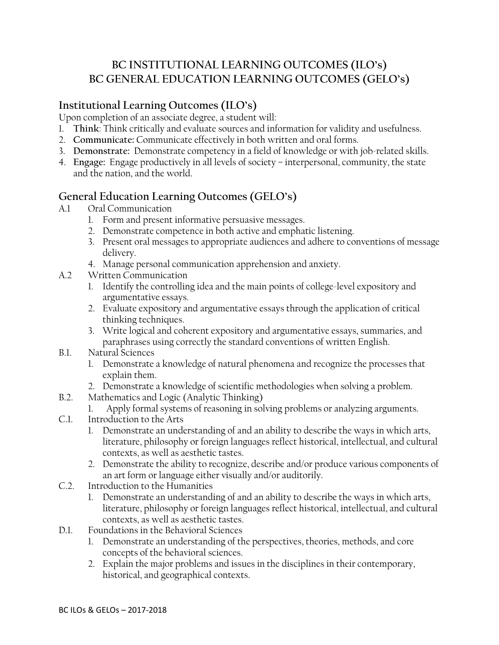## BC INSTITUTIONAL LEARNING OUTCOMES (ILO's) BC GENERAL EDUCATION LEARNING OUTCOMES (GELO's)

## Institutional Learning Outcomes (ILO's)

Upon completion of an associate degree, a student will:

- 1. Think: Think critically and evaluate sources and information for validity and usefulness.
- 2. Communicate: Communicate effectively in both written and oral forms.
- 3. Demonstrate: Demonstrate competency in a field of knowledge or with job-related skills.
- 4. Engage: Engage productively in all levels of society interpersonal, community, the state and the nation, and the world.

## General Education Learning Outcomes (GELO's)

- A.1 Oral Communication
	- 1. Form and present informative persuasive messages.
	- 2. Demonstrate competence in both active and emphatic listening.
	- 3. Present oral messages to appropriate audiences and adhere to conventions of message delivery.
	- 4. Manage personal communication apprehension and anxiety.
- A.2 Written Communication
	- 1. Identify the controlling idea and the main points of college-level expository and argumentative essays.
	- 2. Evaluate expository and argumentative essays through the application of critical thinking techniques.
	- 3. Write logical and coherent expository and argumentative essays, summaries, and paraphrases using correctly the standard conventions of written English.
- B.1. Natural Sciences
	- 1. Demonstrate a knowledge of natural phenomena and recognize the processes that explain them.
	- 2. Demonstrate a knowledge of scientific methodologies when solving a problem.
- B.2. Mathematics and Logic (Analytic Thinking)
	- 1. Apply formal systems of reasoning in solving problems or analyzing arguments.
- C.1. Introduction to the Arts
	- 1. Demonstrate an understanding of and an ability to describe the ways in which arts, literature, philosophy or foreign languages reflect historical, intellectual, and cultural contexts, as well as aesthetic tastes.
	- 2. Demonstrate the ability to recognize, describe and/or produce various components of an art form or language either visually and/or auditorily.
- C.2. Introduction to the Humanities
	- 1. Demonstrate an understanding of and an ability to describe the ways in which arts, literature, philosophy or foreign languages reflect historical, intellectual, and cultural contexts, as well as aesthetic tastes.
- D.1. Foundations in the Behavioral Sciences
	- 1. Demonstrate an understanding of the perspectives, theories, methods, and core concepts of the behavioral sciences.
	- 2. Explain the major problems and issues in the disciplines in their contemporary, historical, and geographical contexts.